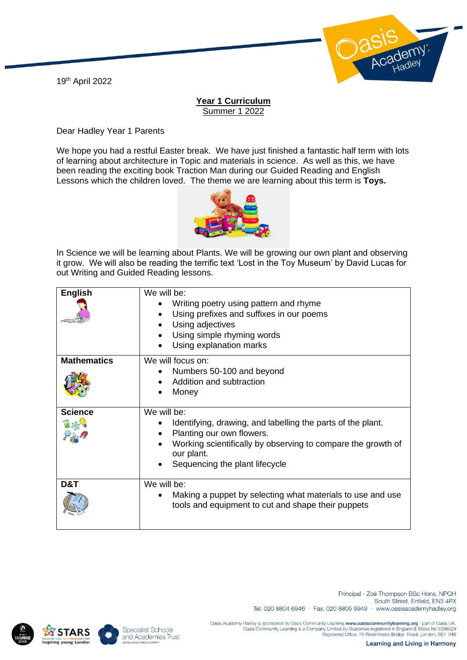19th April 2022



## **Year 1 Curriculum** Summer 1 2022

Dear Hadley Year 1 Parents

We hope you had a restful Easter break. We have just finished a fantastic half term with lots of learning about architecture in Topic and materials in science. As well as this, we have been reading the exciting book Traction Man during our Guided Reading and English Lessons which the children loved. The theme we are learning about this term is **Toys.**



In Science we will be learning about Plants. We will be growing our own plant and observing it grow. We will also be reading the terrific text 'Lost in the Toy Museum' by David Lucas for out Writing and Guided Reading lessons.

| <b>English</b>     | We will be:<br>Writing poetry using pattern and rhyme<br>Using prefixes and suffixes in our poems<br>Using adjectives<br>Using simple rhyming words<br>Using explanation marks                                          |
|--------------------|-------------------------------------------------------------------------------------------------------------------------------------------------------------------------------------------------------------------------|
| <b>Mathematics</b> | We will focus on:<br>Numbers 50-100 and beyond<br>Addition and subtraction<br>Money                                                                                                                                     |
| <b>Science</b>     | We will be:<br>Identifying, drawing, and labelling the parts of the plant.<br>Planting our own flowers.<br>Working scientifically by observing to compare the growth of<br>our plant.<br>Sequencing the plant lifecycle |
| D&T                | We will be:<br>Making a puppet by selecting what materials to use and use<br>tools and equipment to cut and shape their puppets                                                                                         |



**TARS** 

g young Lond

Specialist Schools and Academies Trust

South Street, Enfield, EN3 4PX Tel: 020 8804 6946 · Fax: 020 8805 9949 · www.oasisacademyhadley.org

Oasis Academy Hadley is sponsored by Oasis Community Learning www.oasiscommunitylearning.org - part of Oasis UK<br>Oasis Community Learning is a Company Limited by Guarantee registered in England & Wales No 5398529<br>Registered

Principal - Zoë Thompson BSc Hons, NPQH